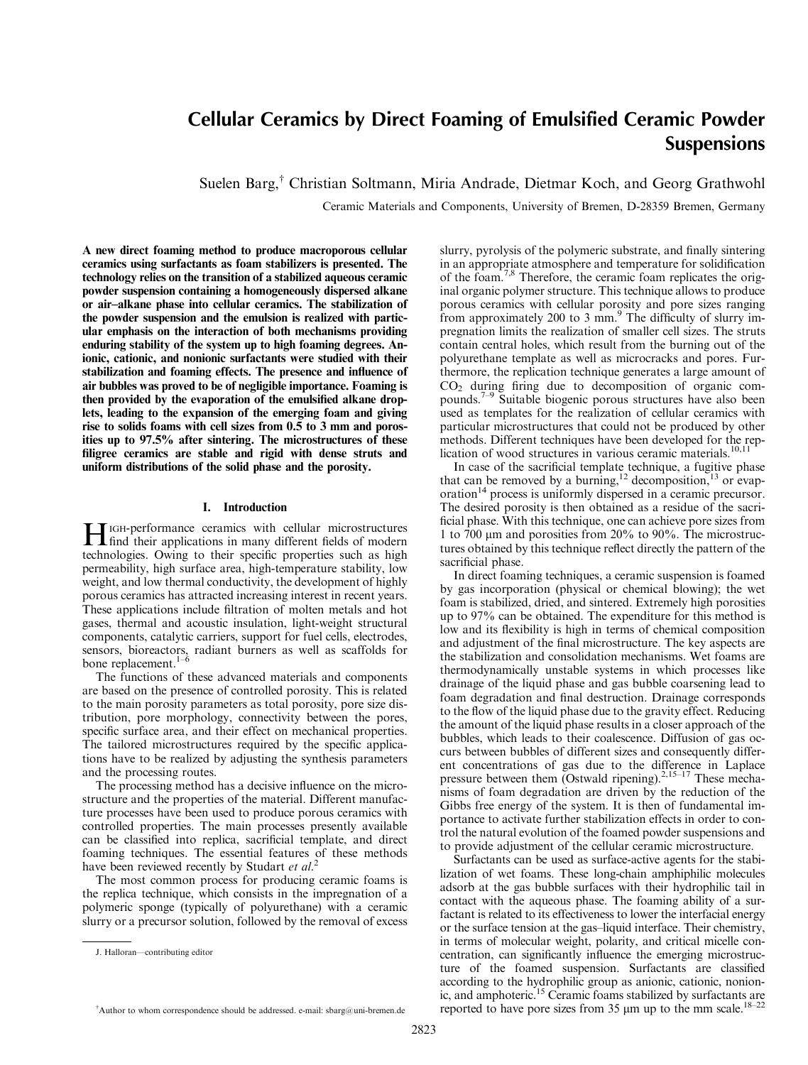# Cellular Ceramics by Direct Foaming of Emulsified Ceramic Powder **Suspensions**

Suelen Barg,<sup>†</sup> Christian Soltmann, Miria Andrade, Dietmar Koch, and Georg Grathwohl

Ceramic Materials and Components, University of Bremen, D-28359 Bremen, Germany

A new direct foaming method to produce macroporous cellular ceramics using surfactants as foam stabilizers is presented. The technology relies on the transition of a stabilized aqueous ceramic powder suspension containing a homogeneously dispersed alkane or air–alkane phase into cellular ceramics. The stabilization of the powder suspension and the emulsion is realized with particular emphasis on the interaction of both mechanisms providing enduring stability of the system up to high foaming degrees. Anionic, cationic, and nonionic surfactants were studied with their stabilization and foaming effects. The presence and influence of air bubbles was proved to be of negligible importance. Foaming is then provided by the evaporation of the emulsified alkane droplets, leading to the expansion of the emerging foam and giving rise to solids foams with cell sizes from 0.5 to 3 mm and porosities up to 97.5% after sintering. The microstructures of these filigree ceramics are stable and rigid with dense struts and uniform distributions of the solid phase and the porosity.

### I. Introduction

H IGH-performance ceramics with cellular microstructures<br>find their applications in many different fields of modern find their applications in many different fields of modern technologies. Owing to their specific properties such as high permeability, high surface area, high-temperature stability, low weight, and low thermal conductivity, the development of highly porous ceramics has attracted increasing interest in recent years. These applications include filtration of molten metals and hot gases, thermal and acoustic insulation, light-weight structural components, catalytic carriers, support for fuel cells, electrodes, sensors, bioreactors, radiant burners as well as scaffolds for bone replacement. 1–6

The functions of these advanced materials and components are based on the presence of controlled porosity. This is related to the main porosity parameters as total porosity, pore size distribution, pore morphology, connectivity between the pores, specific surface area, and their effect on mechanical properties. The tailored microstructures required by the specific applications have to be realized by adjusting the synthesis parameters and the processing routes.

The processing method has a decisive influence on the microstructure and the properties of the material. Different manufacture processes have been used to produce porous ceramics with controlled properties. The main processes presently available can be classified into replica, sacrificial template, and direct foaming techniques. The essential features of these methods have been reviewed recently by Studart et al.<sup>2</sup>

The most common process for producing ceramic foams is the replica technique, which consists in the impregnation of a polymeric sponge (typically of polyurethane) with a ceramic slurry or a precursor solution, followed by the removal of excess slurry, pyrolysis of the polymeric substrate, and finally sintering in an appropriate atmosphere and temperature for solidification of the foam.<sup>7,8</sup> Therefore, the ceramic foam replicates the original organic polymer structure. This technique allows to produce porous ceramics with cellular porosity and pore sizes ranging from approximately 200 to 3 mm.<sup>9</sup> The difficulty of slurry impregnation limits the realization of smaller cell sizes. The struts contain central holes, which result from the burning out of the polyurethane template as well as microcracks and pores. Furthermore, the replication technique generates a large amount of  $CO<sub>2</sub>$  during firing due to decomposition of organic compounds. 7–9 Suitable biogenic porous structures have also been used as templates for the realization of cellular ceramics with particular microstructures that could not be produced by other methods. Different techniques have been developed for the replication of wood structures in various ceramic materials.<sup>10,11</sup>

In case of the sacrificial template technique, a fugitive phase that can be removed by a burning,<sup>12</sup> decomposition,<sup>13</sup> or evaporation 14 process is uniformly dispersed in a ceramic precursor. The desired porosity is then obtained as a residue of the sacrificial phase. With this technique, one can achieve pore sizes from 1 to 700 μm and porosities from 20% to 90%. The microstructures obtained by this technique reflect directly the pattern of the sacrificial phase.

In direct foaming techniques, a ceramic suspension is foamed by gas incorporation (physical or chemical blowing); the wet foam is stabilized, dried, and sintered. Extremely high porosities up to 97% can be obtained. The expenditure for this method is low and its flexibility is high in terms of chemical composition and adjustment of the final microstructure. The key aspects are the stabilization and consolidation mechanisms. Wet foams are thermodynamically unstable systems in which processes like drainage of the liquid phase and gas bubble coarsening lead to foam degradation and final destruction. Drainage corresponds to the flow of the liquid phase due to the gravity effect. Reducing the amount of the liquid phase results in a closer approach of the bubbles, which leads to their coalescence. Diffusion of gas occurs between bubbles of different sizes and consequently different concentrations of gas due to the difference in Laplace pressure between them (Ostwald ripening).<sup>2,15–17</sup> These mechanisms of foam degradation are driven by the reduction of the Gibbs free energy of the system. It is then of fundamental importance to activate further stabilization effects in order to control the natural evolution of the foamed powder suspensions and to provide adjustment of the cellular ceramic microstructure.

Surfactants can be used as surface-active agents for the stabilization of wet foams. These long-chain amphiphilic molecules adsorb at the gas bubble surfaces with their hydrophilic tail in contact with the aqueous phase. The foaming ability of a surfactant is related to its effectiveness to lower the interfacial energy or the surface tension at the gas–liquid interface. Their chemistry, in terms of molecular weight, polarity, and critical micelle concentration, can significantly influence the emerging microstructure of the foamed suspension. Surfactants are classified according to the hydrophilic group as anionic, cationic, nonionic, and amphoteric.<sup>15</sup> Ceramic foams stabilized by surfactants are<br>reported to have pore sizes from 35 um up to the mm scale  $18-22$ reported to have pore sizes from 35  $\mu$ m up to the mm scale.<sup>18–2</sup>

J. Halloran—contributing editor

<sup>&</sup>lt;sup>†</sup>Author to whom correspondence should be addressed. e-mail: [sbarg@uni-bremen.de](i:/BWUS/JACE/02553/sbarg@uni-bremen.de)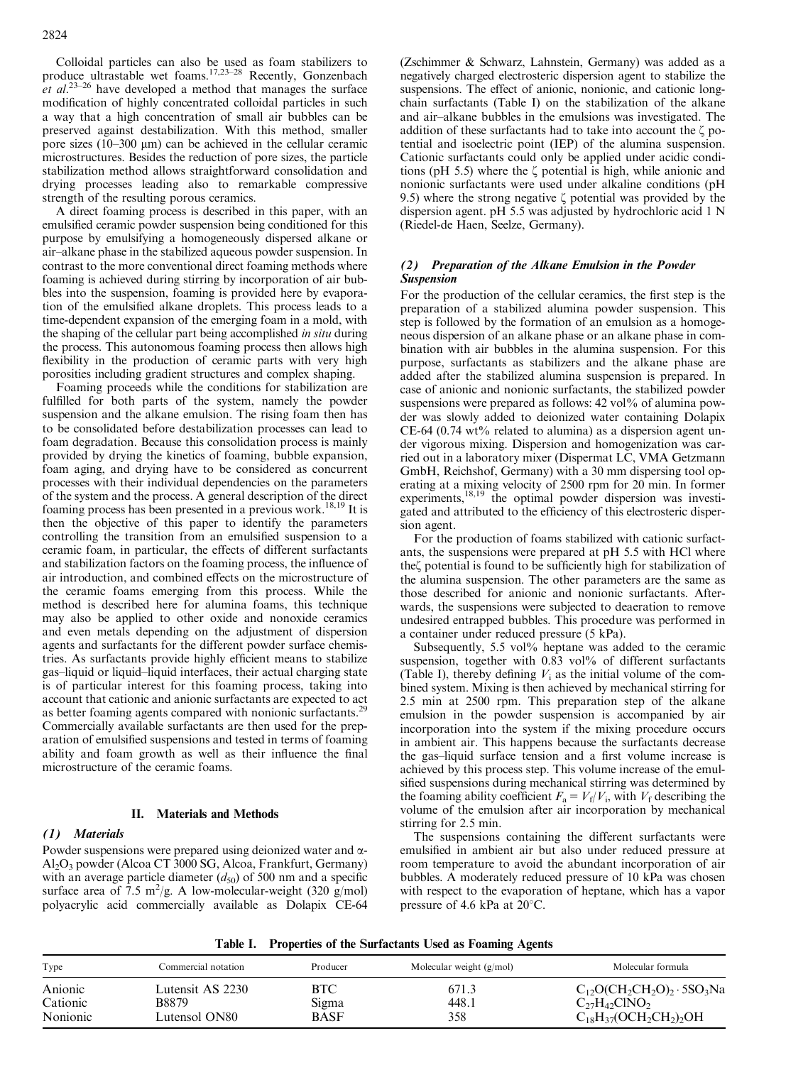Colloidal particles can also be used as foam stabilizers to produce ultrastable wet foams.<sup>17,23-28</sup> Recently, Gonzenbach  $\frac{1}{e}$  *et al.*<sup>23–26</sup> have developed a method that manages the surface modification of highly concentrated colloidal particles in such a way that a high concentration of small air bubbles can be preserved against destabilization. With this method, smaller pore sizes  $(10-300 \mu m)$  can be achieved in the cellular ceramic microstructures. Besides the reduction of pore sizes, the particle stabilization method allows straightforward consolidation and drying processes leading also to remarkable compressive strength of the resulting porous ceramics.

A direct foaming process is described in this paper, with an emulsified ceramic powder suspension being conditioned for this purpose by emulsifying a homogeneously dispersed alkane or air–alkane phase in the stabilized aqueous powder suspension. In contrast to the more conventional direct foaming methods where foaming is achieved during stirring by incorporation of air bubbles into the suspension, foaming is provided here by evaporation of the emulsified alkane droplets. This process leads to a time-dependent expansion of the emerging foam in a mold, with the shaping of the cellular part being accomplished in situ during the process. This autonomous foaming process then allows high flexibility in the production of ceramic parts with very high porosities including gradient structures and complex shaping.

Foaming proceeds while the conditions for stabilization are fulfilled for both parts of the system, namely the powder suspension and the alkane emulsion. The rising foam then has to be consolidated before destabilization processes can lead to foam degradation. Because this consolidation process is mainly provided by drying the kinetics of foaming, bubble expansion, foam aging, and drying have to be considered as concurrent processes with their individual dependencies on the parameters of the system and the process. A general description of the direct foaming process has been presented in a previous work.<sup>18,19</sup> It is then the objective of this paper to identify the parameters controlling the transition from an emulsified suspension to a ceramic foam, in particular, the effects of different surfactants and stabilization factors on the foaming process, the influence of air introduction, and combined effects on the microstructure of the ceramic foams emerging from this process. While the method is described here for alumina foams, this technique may also be applied to other oxide and nonoxide ceramics and even metals depending on the adjustment of dispersion agents and surfactants for the different powder surface chemistries. As surfactants provide highly efficient means to stabilize gas–liquid or liquid–liquid interfaces, their actual charging state is of particular interest for this foaming process, taking into account that cationic and anionic surfactants are expected to act as better foaming agents compared with nonionic surfactants.<sup>29</sup> Commercially available surfactants are then used for the preparation of emulsified suspensions and tested in terms of foaming ability and foam growth as well as their influence the final microstructure of the ceramic foams.

#### II. Materials and Methods

# (1) Materials

Powder suspensions were prepared using deionized water and  $\alpha$ -Al2O<sup>3</sup> powder (Alcoa CT 3000 SG, Alcoa, Frankfurt, Germany) with an average particle diameter  $(d_{50})$  of 500 nm and a specific surface area of 7.5 m<sup>2</sup>/g. A low-molecular-weight (320 g/mol) polyacrylic acid commercially available as Dolapix CE-64

(Zschimmer & Schwarz, Lahnstein, Germany) was added as a negatively charged electrosteric dispersion agent to stabilize the suspensions. The effect of anionic, nonionic, and cationic longchain surfactants (Table I) on the stabilization of the alkane and air–alkane bubbles in the emulsions was investigated. The addition of these surfactants had to take into account the  $\zeta$  potential and isoelectric point (IEP) of the alumina suspension. Cationic surfactants could only be applied under acidic conditions (pH 5.5) where the  $\zeta$  potential is high, while anionic and nonionic surfactants were used under alkaline conditions (pH 9.5) where the strong negative  $\zeta$  potential was provided by the dispersion agent. pH 5.5 was adjusted by hydrochloric acid 1 N (Riedel-de Haen, Seelze, Germany).

# (2) Preparation of the Alkane Emulsion in the Powder Suspension

For the production of the cellular ceramics, the first step is the preparation of a stabilized alumina powder suspension. This step is followed by the formation of an emulsion as a homogeneous dispersion of an alkane phase or an alkane phase in combination with air bubbles in the alumina suspension. For this purpose, surfactants as stabilizers and the alkane phase are added after the stabilized alumina suspension is prepared. In case of anionic and nonionic surfactants, the stabilized powder suspensions were prepared as follows: 42 vol% of alumina powder was slowly added to deionized water containing Dolapix CE-64 (0.74 wt% related to alumina) as a dispersion agent under vigorous mixing. Dispersion and homogenization was carried out in a laboratory mixer (Dispermat LC, VMA Getzmann GmbH, Reichshof, Germany) with a 30 mm dispersing tool operating at a mixing velocity of 2500 rpm for 20 min. In former experiments,<sup>18,19</sup> the optimal powder dispersion was investigated and attributed to the efficiency of this electrosteric dispersion agent.

For the production of foams stabilized with cationic surfactants, the suspensions were prepared at pH 5.5 with HCl where thez potential is found to be sufficiently high for stabilization of the alumina suspension. The other parameters are the same as those described for anionic and nonionic surfactants. Afterwards, the suspensions were subjected to deaeration to remove undesired entrapped bubbles. This procedure was performed in a container under reduced pressure (5 kPa).

Subsequently, 5.5 vol% heptane was added to the ceramic suspension, together with 0.83 vol% of different surfactants (Table I), thereby defining  $V_i$  as the initial volume of the combined system. Mixing is then achieved by mechanical stirring for 2.5 min at 2500 rpm. This preparation step of the alkane emulsion in the powder suspension is accompanied by air incorporation into the system if the mixing procedure occurs in ambient air. This happens because the surfactants decrease the gas–liquid surface tension and a first volume increase is achieved by this process step. This volume increase of the emulsified suspensions during mechanical stirring was determined by the foaming ability coefficient  $F_a = V_f/V_i$ , with  $V_f$  describing the volume of the emulsion after air incorporation by mechanical stirring for 2.5 min.

The suspensions containing the different surfactants were emulsified in ambient air but also under reduced pressure at room temperature to avoid the abundant incorporation of air bubbles. A moderately reduced pressure of 10 kPa was chosen with respect to the evaporation of heptane, which has a vapor pressure of 4.6 kPa at  $20^{\circ}$ C.

Table I. Properties of the Surfactants Used as Foaming Agents

| Type     | Commercial notation | Producer    | Molecular weight $(g/mol)$ | Molecular formula                                                  |
|----------|---------------------|-------------|----------------------------|--------------------------------------------------------------------|
| Anionic  | Lutensit AS 2230    | <b>BTC</b>  | 671.3                      | $C_{12}O(CH_2CH_2O)_2.5SO_3Na$                                     |
| Cationic | <b>B8879</b>        | Sigma       | 448.1                      | $C_{27}H_{42}CINO_2$                                               |
| Nonionic | Lutensol ON80       | <b>BASF</b> | 358                        | $C_{18}H_{37}$ (OCH <sub>2</sub> CH <sub>2</sub> ) <sub>2</sub> OH |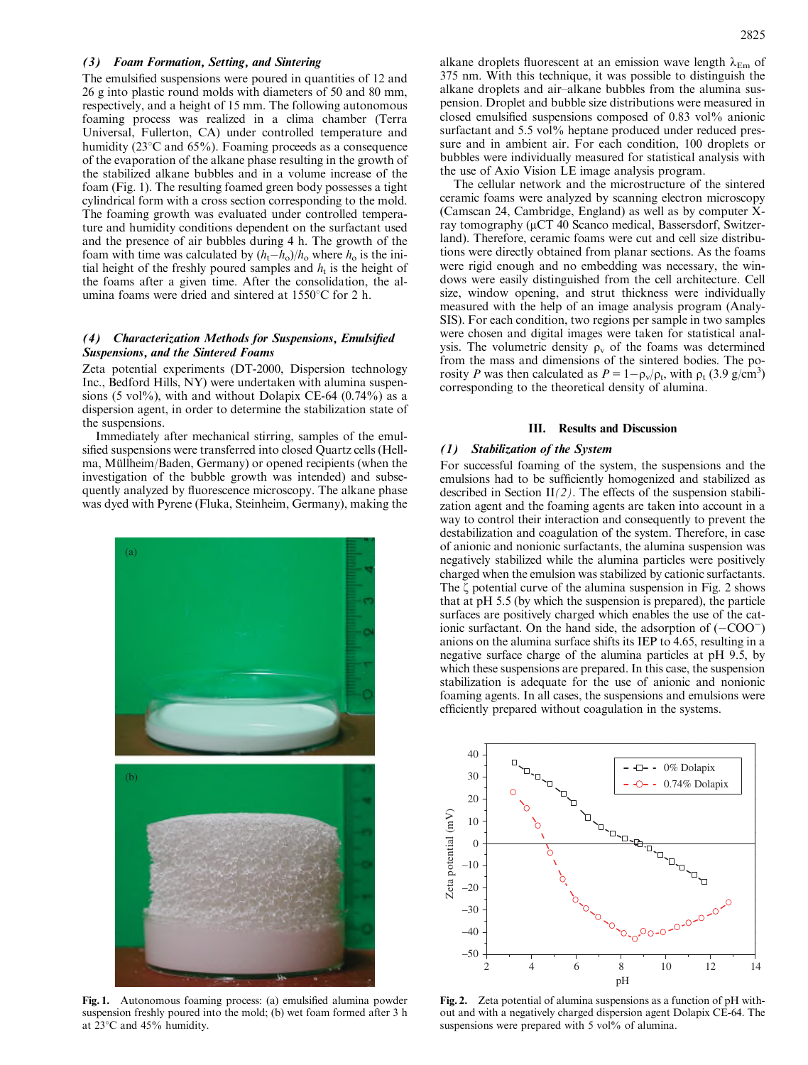#### (3) Foam Formation, Setting, and Sintering

The emulsified suspensions were poured in quantities of 12 and 26 g into plastic round molds with diameters of 50 and 80 mm, respectively, and a height of 15 mm. The following autonomous foaming process was realized in a clima chamber (Terra Universal, Fullerton, CA) under controlled temperature and humidity ( $23^{\circ}$ C and  $65\%$ ). Foaming proceeds as a consequence of the evaporation of the alkane phase resulting in the growth of the stabilized alkane bubbles and in a volume increase of the foam (Fig. 1). The resulting foamed green body possesses a tight cylindrical form with a cross section corresponding to the mold. The foaming growth was evaluated under controlled temperature and humidity conditions dependent on the surfactant used and the presence of air bubbles during 4 h. The growth of the foam with time was calculated by  $(h_t - h_o)/h_o$  where  $h_o$  is the initial height of the freshly poured samples and  $h_t$  is the height of the foams after a given time. After the consolidation, the alumina foams were dried and sintered at  $1550^{\circ}$ C for 2 h.

#### (4) Characterization Methods for Suspensions, Emulsified Suspensions, and the Sintered Foams

Zeta potential experiments (DT-2000, Dispersion technology Inc., Bedford Hills, NY) were undertaken with alumina suspensions (5 vol $\%$ ), with and without Dolapix CE-64 (0.74 $\%$ ) as a dispersion agent, in order to determine the stabilization state of the suspensions.

Immediately after mechanical stirring, samples of the emulsified suspensions were transferred into closed Quartz cells (Hellma, Müllheim/Baden, Germany) or opened recipients (when the investigation of the bubble growth was intended) and subsequently analyzed by fluorescence microscopy. The alkane phase was dyed with Pyrene (Fluka, Steinheim, Germany), making the



Fig. 1. Autonomous foaming process: (a) emulsified alumina powder suspension freshly poured into the mold; (b) wet foam formed after 3 h at  $23^{\circ}$ C and  $45%$  humidity.

alkane droplets fluorescent at an emission wave length  $\lambda_{\text{Em}}$  of 375 nm. With this technique, it was possible to distinguish the alkane droplets and air–alkane bubbles from the alumina suspension. Droplet and bubble size distributions were measured in closed emulsified suspensions composed of 0.83 vol% anionic surfactant and 5.5 vol% heptane produced under reduced pressure and in ambient air. For each condition, 100 droplets or bubbles were individually measured for statistical analysis with the use of Axio Vision LE image analysis program.

The cellular network and the microstructure of the sintered ceramic foams were analyzed by scanning electron microscopy (Camscan 24, Cambridge, England) as well as by computer Xray tomography (µCT 40 Scanco medical, Bassersdorf, Switzerland). Therefore, ceramic foams were cut and cell size distributions were directly obtained from planar sections. As the foams were rigid enough and no embedding was necessary, the windows were easily distinguished from the cell architecture. Cell size, window opening, and strut thickness were individually measured with the help of an image analysis program (Analy-SIS). For each condition, two regions per sample in two samples were chosen and digital images were taken for statistical analysis. The volumetric density  $\rho_v$  of the foams was determined from the mass and dimensions of the sintered bodies. The porosity P was then calculated as  $P = 1 - \rho_v / \rho_t$ , with  $\rho_t$  (3.9 g/cm<sup>3</sup>) corresponding to the theoretical density of alumina.

#### III. Results and Discussion

### (1) Stabilization of the System

For successful foaming of the system, the suspensions and the emulsions had to be sufficiently homogenized and stabilized as described in Section  $II(2)$ . The effects of the suspension stabilization agent and the foaming agents are taken into account in a way to control their interaction and consequently to prevent the destabilization and coagulation of the system. Therefore, in case of anionic and nonionic surfactants, the alumina suspension was negatively stabilized while the alumina particles were positively charged when the emulsion was stabilized by cationic surfactants. The  $\zeta$  potential curve of the alumina suspension in Fig. 2 shows that at pH 5.5 (by which the suspension is prepared), the particle surfaces are positively charged which enables the use of the cationic surfactant. On the hand side, the adsorption of  $(-COO^{-})$ anions on the alumina surface shifts its IEP to 4.65, resulting in a negative surface charge of the alumina particles at pH 9.5, by which these suspensions are prepared. In this case, the suspension stabilization is adequate for the use of anionic and nonionic foaming agents. In all cases, the suspensions and emulsions were efficiently prepared without coagulation in the systems.



Fig. 2. Zeta potential of alumina suspensions as a function of pH without and with a negatively charged dispersion agent Dolapix CE-64. The suspensions were prepared with 5 vol% of alumina.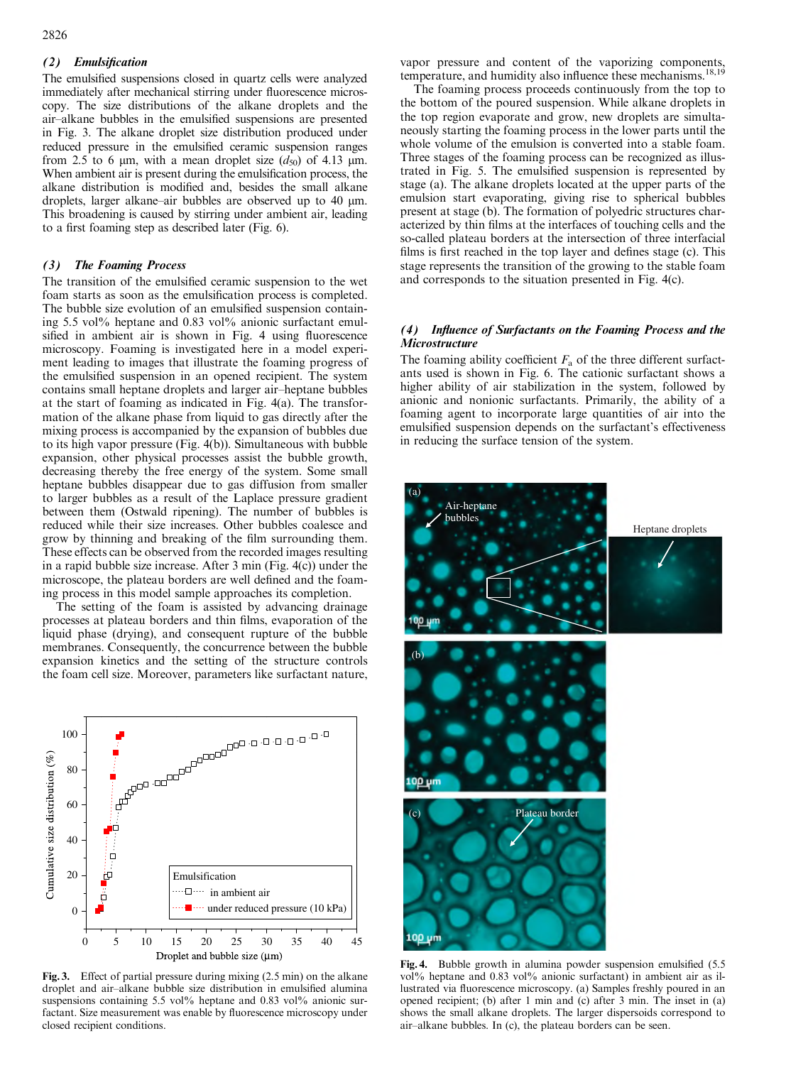## (2) Emulsification

The emulsified suspensions closed in quartz cells were analyzed immediately after mechanical stirring under fluorescence microscopy. The size distributions of the alkane droplets and the air–alkane bubbles in the emulsified suspensions are presented in Fig. 3. The alkane droplet size distribution produced under reduced pressure in the emulsified ceramic suspension ranges from 2.5 to 6  $\mu$ m, with a mean droplet size  $(d_{50})$  of 4.13  $\mu$ m. When ambient air is present during the emulsification process, the alkane distribution is modified and, besides the small alkane droplets, larger alkane–air bubbles are observed up to 40  $\mu$ m. This broadening is caused by stirring under ambient air, leading to a first foaming step as described later (Fig. 6).

#### (3) The Foaming Process

The transition of the emulsified ceramic suspension to the wet foam starts as soon as the emulsification process is completed. The bubble size evolution of an emulsified suspension containing 5.5 vol% heptane and 0.83 vol% anionic surfactant emulsified in ambient air is shown in Fig. 4 using fluorescence microscopy. Foaming is investigated here in a model experiment leading to images that illustrate the foaming progress of the emulsified suspension in an opened recipient. The system contains small heptane droplets and larger air–heptane bubbles at the start of foaming as indicated in Fig. 4(a). The transformation of the alkane phase from liquid to gas directly after the mixing process is accompanied by the expansion of bubbles due to its high vapor pressure (Fig. 4(b)). Simultaneous with bubble expansion, other physical processes assist the bubble growth, decreasing thereby the free energy of the system. Some small heptane bubbles disappear due to gas diffusion from smaller to larger bubbles as a result of the Laplace pressure gradient between them (Ostwald ripening). The number of bubbles is reduced while their size increases. Other bubbles coalesce and grow by thinning and breaking of the film surrounding them. These effects can be observed from the recorded images resulting in a rapid bubble size increase. After 3 min (Fig. 4(c)) under the microscope, the plateau borders are well defined and the foaming process in this model sample approaches its completion.

The setting of the foam is assisted by advancing drainage processes at plateau borders and thin films, evaporation of the liquid phase (drying), and consequent rupture of the bubble membranes. Consequently, the concurrence between the bubble expansion kinetics and the setting of the structure controls the foam cell size. Moreover, parameters like surfactant nature,



Fig. 3. Effect of partial pressure during mixing (2.5 min) on the alkane droplet and air–alkane bubble size distribution in emulsified alumina suspensions containing  $5.5 \text{ vol}$ % heptane and 0.83 vol% anionic surfactant. Size measurement was enable by fluorescence microscopy under closed recipient conditions.

vapor pressure and content of the vaporizing components, temperature, and humidity also influence these mechanisms.<sup>18,19</sup>

The foaming process proceeds continuously from the top to the bottom of the poured suspension. While alkane droplets in the top region evaporate and grow, new droplets are simultaneously starting the foaming process in the lower parts until the whole volume of the emulsion is converted into a stable foam. Three stages of the foaming process can be recognized as illustrated in Fig. 5. The emulsified suspension is represented by stage (a). The alkane droplets located at the upper parts of the emulsion start evaporating, giving rise to spherical bubbles present at stage (b). The formation of polyedric structures characterized by thin films at the interfaces of touching cells and the so-called plateau borders at the intersection of three interfacial films is first reached in the top layer and defines stage (c). This stage represents the transition of the growing to the stable foam and corresponds to the situation presented in Fig. 4(c).

# (4) Influence of Surfactants on the Foaming Process and the Microstructure

The foaming ability coefficient  $F_a$  of the three different surfactants used is shown in Fig. 6. The cationic surfactant shows a higher ability of air stabilization in the system, followed by anionic and nonionic surfactants. Primarily, the ability of a foaming agent to incorporate large quantities of air into the emulsified suspension depends on the surfactant's effectiveness in reducing the surface tension of the system.



Fig. 4. Bubble growth in alumina powder suspension emulsified (5.5 vol% heptane and 0.83 vol% anionic surfactant) in ambient air as illustrated via fluorescence microscopy. (a) Samples freshly poured in an opened recipient; (b) after 1 min and (c) after 3 min. The inset in (a) shows the small alkane droplets. The larger dispersoids correspond to air–alkane bubbles. In (c), the plateau borders can be seen.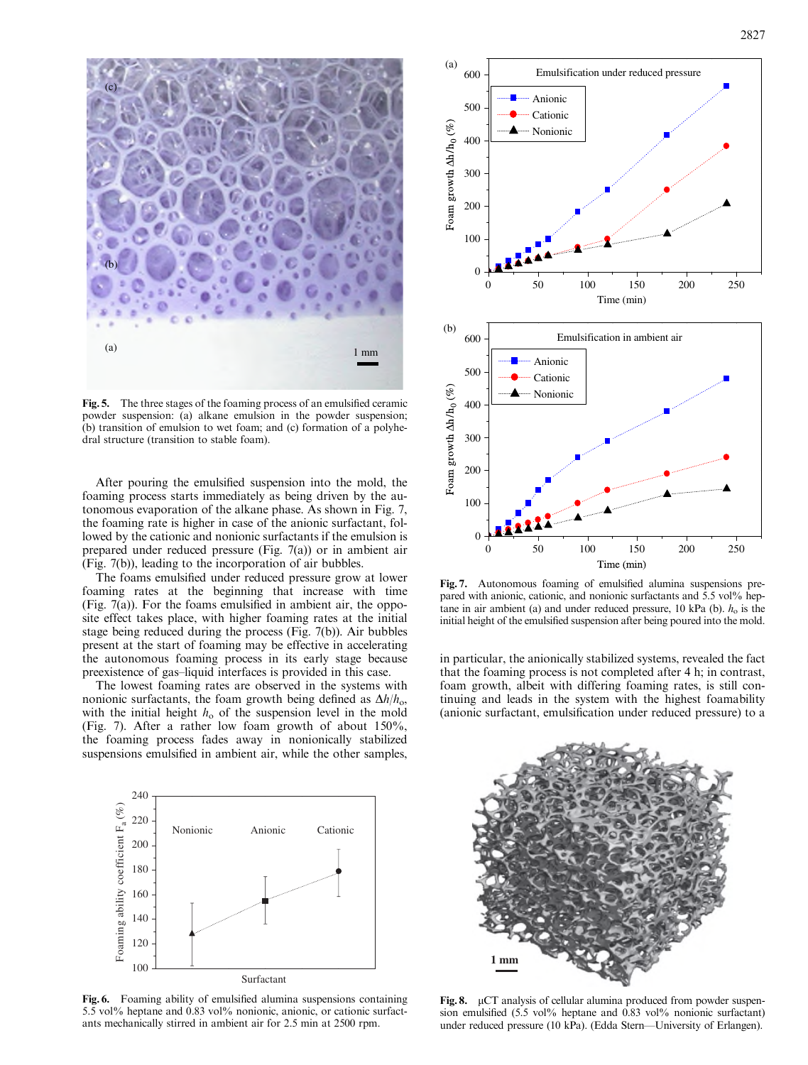

Fig. 5. The three stages of the foaming process of an emulsified ceramic powder suspension: (a) alkane emulsion in the powder suspension; (b) transition of emulsion to wet foam; and (c) formation of a polyhedral structure (transition to stable foam).

After pouring the emulsified suspension into the mold, the foaming process starts immediately as being driven by the autonomous evaporation of the alkane phase. As shown in Fig. 7, the foaming rate is higher in case of the anionic surfactant, followed by the cationic and nonionic surfactants if the emulsion is prepared under reduced pressure (Fig. 7(a)) or in ambient air (Fig. 7(b)), leading to the incorporation of air bubbles.

The foams emulsified under reduced pressure grow at lower foaming rates at the beginning that increase with time (Fig. 7(a)). For the foams emulsified in ambient air, the opposite effect takes place, with higher foaming rates at the initial stage being reduced during the process (Fig. 7(b)). Air bubbles present at the start of foaming may be effective in accelerating the autonomous foaming process in its early stage because preexistence of gas–liquid interfaces is provided in this case.

The lowest foaming rates are observed in the systems with nonionic surfactants, the foam growth being defined as  $\Delta h/h_0$ , with the initial height  $h_0$  of the suspension level in the mold (Fig. 7). After a rather low foam growth of about 150%, the foaming process fades away in nonionically stabilized suspensions emulsified in ambient air, while the other samples,



Fig. 6. Foaming ability of emulsified alumina suspensions containing 5.5 vol% heptane and 0.83 vol% nonionic, anionic, or cationic surfactants mechanically stirred in ambient air for 2.5 min at 2500 rpm.



Fig. 7. Autonomous foaming of emulsified alumina suspensions prepared with anionic, cationic, and nonionic surfactants and 5.5 vol% heptane in air ambient (a) and under reduced pressure, 10 kPa (b).  $h_0$  is the initial height of the emulsified suspension after being poured into the mold.

in particular, the anionically stabilized systems, revealed the fact that the foaming process is not completed after 4 h; in contrast, foam growth, albeit with differing foaming rates, is still continuing and leads in the system with the highest foamability (anionic surfactant, emulsification under reduced pressure) to a



Fig. 8.  $\mu$ CT analysis of cellular alumina produced from powder suspension emulsified (5.5 vol% heptane and 0.83 vol% nonionic surfactant) under reduced pressure (10 kPa). (Edda Stern—University of Erlangen).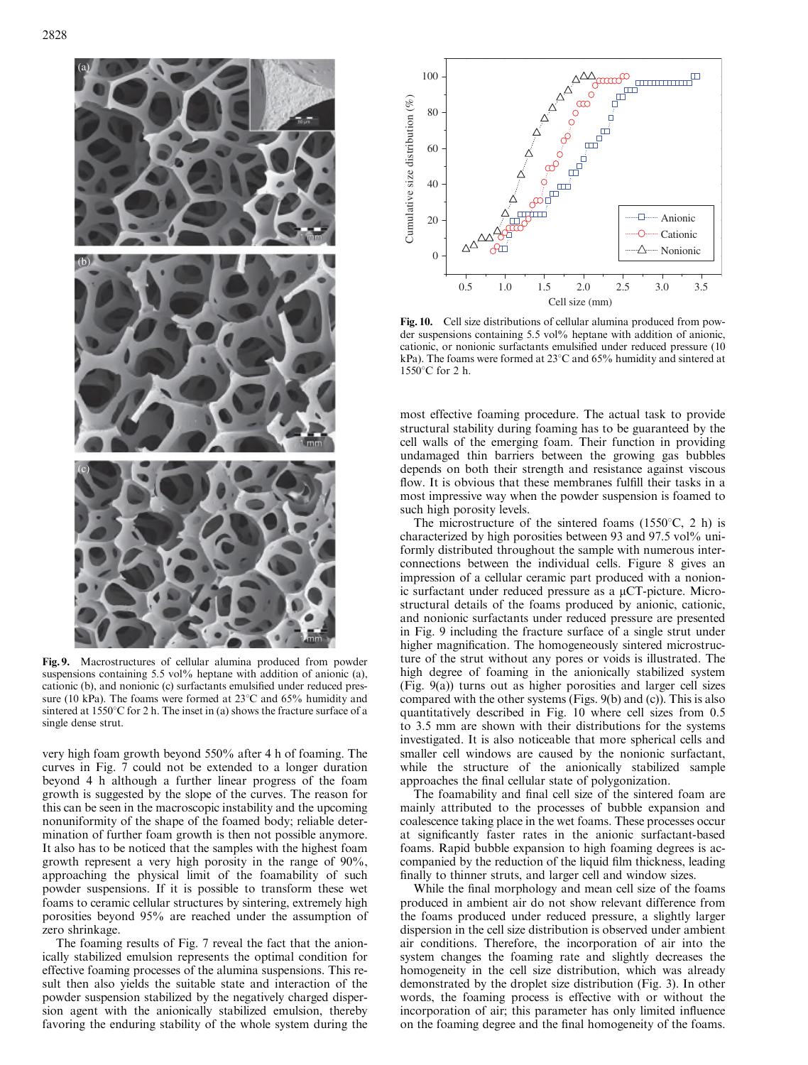

Fig. 9. Macrostructures of cellular alumina produced from powder suspensions containing 5.5 vol% heptane with addition of anionic (a), cationic (b), and nonionic (c) surfactants emulsified under reduced pressure (10 kPa). The foams were formed at  $23^{\circ}$ C and  $65\%$  humidity and sintered at  $1550^{\circ}$ C for 2 h. The inset in (a) shows the fracture surface of a single dense strut.

very high foam growth beyond 550% after 4 h of foaming. The curves in Fig. 7 could not be extended to a longer duration beyond 4 h although a further linear progress of the foam growth is suggested by the slope of the curves. The reason for this can be seen in the macroscopic instability and the upcoming nonuniformity of the shape of the foamed body; reliable determination of further foam growth is then not possible anymore. It also has to be noticed that the samples with the highest foam growth represent a very high porosity in the range of 90%, approaching the physical limit of the foamability of such powder suspensions. If it is possible to transform these wet foams to ceramic cellular structures by sintering, extremely high porosities beyond 95% are reached under the assumption of zero shrinkage.

The foaming results of Fig. 7 reveal the fact that the anionically stabilized emulsion represents the optimal condition for effective foaming processes of the alumina suspensions. This result then also yields the suitable state and interaction of the powder suspension stabilized by the negatively charged dispersion agent with the anionically stabilized emulsion, thereby favoring the enduring stability of the whole system during the



Fig. 10. Cell size distributions of cellular alumina produced from powder suspensions containing 5.5 vol% heptane with addition of anionic, cationic, or nonionic surfactants emulsified under reduced pressure (10 kPa). The foams were formed at  $23^{\circ}$ C and  $65\%$  humidity and sintered at  $1550^{\circ}$ C for 2 h.

most effective foaming procedure. The actual task to provide structural stability during foaming has to be guaranteed by the cell walls of the emerging foam. Their function in providing undamaged thin barriers between the growing gas bubbles depends on both their strength and resistance against viscous flow. It is obvious that these membranes fulfill their tasks in a most impressive way when the powder suspension is foamed to such high porosity levels.

The microstructure of the sintered foams  $(1550^{\circ}C, 2 h)$  is characterized by high porosities between 93 and 97.5 vol<sup>%</sup> uniformly distributed throughout the sample with numerous interconnections between the individual cells. Figure 8 gives an impression of a cellular ceramic part produced with a nonionic surfactant under reduced pressure as a  $\mu$ CT-picture. Microstructural details of the foams produced by anionic, cationic, and nonionic surfactants under reduced pressure are presented in Fig. 9 including the fracture surface of a single strut under higher magnification. The homogeneously sintered microstructure of the strut without any pores or voids is illustrated. The high degree of foaming in the anionically stabilized system (Fig. 9(a)) turns out as higher porosities and larger cell sizes compared with the other systems (Figs. 9(b) and (c)). This is also quantitatively described in Fig. 10 where cell sizes from 0.5 to 3.5 mm are shown with their distributions for the systems investigated. It is also noticeable that more spherical cells and smaller cell windows are caused by the nonionic surfactant, while the structure of the anionically stabilized sample approaches the final cellular state of polygonization.

The foamability and final cell size of the sintered foam are mainly attributed to the processes of bubble expansion and coalescence taking place in the wet foams. These processes occur at significantly faster rates in the anionic surfactant-based foams. Rapid bubble expansion to high foaming degrees is accompanied by the reduction of the liquid film thickness, leading finally to thinner struts, and larger cell and window sizes.

While the final morphology and mean cell size of the foams produced in ambient air do not show relevant difference from the foams produced under reduced pressure, a slightly larger dispersion in the cell size distribution is observed under ambient air conditions. Therefore, the incorporation of air into the system changes the foaming rate and slightly decreases the homogeneity in the cell size distribution, which was already demonstrated by the droplet size distribution (Fig. 3). In other words, the foaming process is effective with or without the incorporation of air; this parameter has only limited influence on the foaming degree and the final homogeneity of the foams.